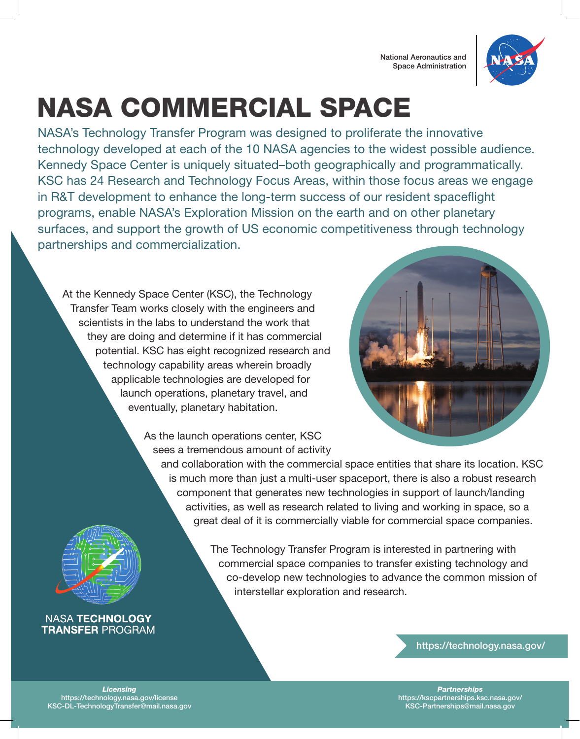

# NASA COMMERCIAL SPACE

NASA's Technology Transfer Program was designed to proliferate the innovative technology developed at each of the 10 NASA agencies to the widest possible audience. Kennedy Space Center is uniquely situated–both geographically and programmatically. KSC has 24 Research and Technology Focus Areas, within those focus areas we engage in R&T development to enhance the long-term success of our resident spaceflight programs, enable NASA's Exploration Mission on the earth and on other planetary surfaces, and support the growth of US economic competitiveness through technology partnerships and commercialization.

At the Kennedy Space Center (KSC), the Technology Transfer Team works closely with the engineers and scientists in the labs to understand the work that they are doing and determine if it has commercial potential. KSC has eight recognized research and technology capability areas wherein broadly applicable technologies are developed for launch operations, planetary travel, and eventually, planetary habitation.



As the launch operations center, KSC sees a tremendous amount of activity

and collaboration with the commercial space entities that share its location. KSC is much more than just a multi-user spaceport, there is also a robust research component that generates new technologies in support of launch/landing activities, as well as research related to living and working in space, so a great deal of it is commercially viable for commercial space companies.



The Technology Transfer Program is interested in partnering with commercial space companies to transfer existing technology and co-develop new technologies to advance the common mission of interstellar exploration and research.

### **NASA TECHNOLOGY TRANSFER PROGRAM**

https://technology.nasa.gov/

*Licensing* https://technology.nasa.gov/license KSC-DL-TechnologyTransfer@mail.nasa.gov

*Partnerships* https://kscpartnerships.ksc.nasa.gov/ KSC-Partnerships@mail.nasa.gov